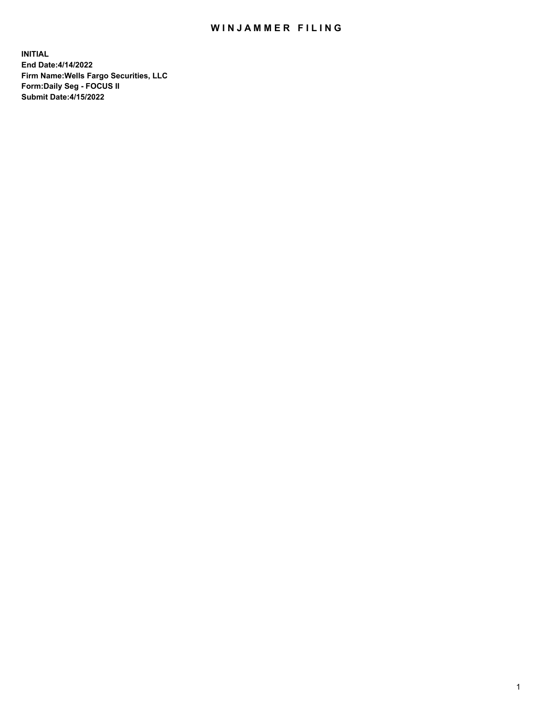## WIN JAMMER FILING

**INITIAL End Date:4/14/2022 Firm Name:Wells Fargo Securities, LLC Form:Daily Seg - FOCUS II Submit Date:4/15/2022**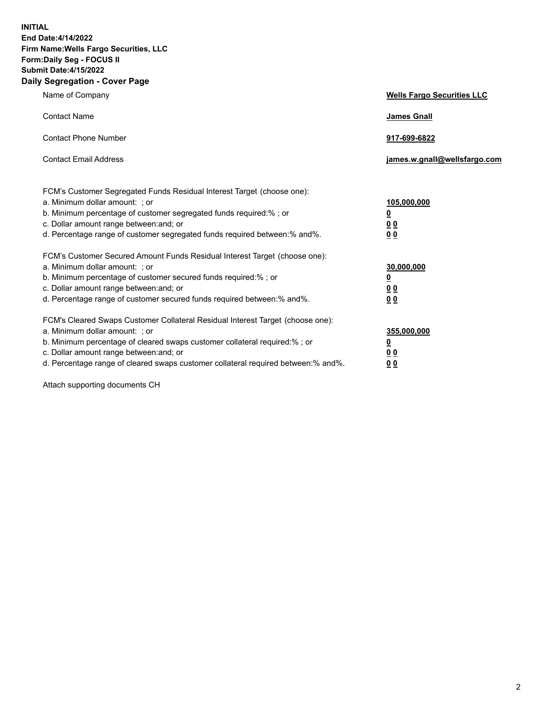**INITIAL End Date:4/14/2022 Firm Name:Wells Fargo Securities, LLC Form:Daily Seg - FOCUS II Submit Date:4/15/2022 Daily Segregation - Cover Page**

| Name of Company                                                                                                                                                                                                                                                                                                                | <b>Wells Fargo Securities LLC</b>                          |
|--------------------------------------------------------------------------------------------------------------------------------------------------------------------------------------------------------------------------------------------------------------------------------------------------------------------------------|------------------------------------------------------------|
| <b>Contact Name</b>                                                                                                                                                                                                                                                                                                            | <b>James Gnall</b>                                         |
| <b>Contact Phone Number</b>                                                                                                                                                                                                                                                                                                    | 917-699-6822                                               |
| <b>Contact Email Address</b>                                                                                                                                                                                                                                                                                                   | james.w.gnall@wellsfargo.com                               |
| FCM's Customer Segregated Funds Residual Interest Target (choose one):<br>a. Minimum dollar amount: ; or<br>b. Minimum percentage of customer segregated funds required:% ; or<br>c. Dollar amount range between: and; or<br>d. Percentage range of customer segregated funds required between:% and%.                         | 105,000,000<br><u>0</u><br>0 <sub>0</sub><br>00            |
| FCM's Customer Secured Amount Funds Residual Interest Target (choose one):<br>a. Minimum dollar amount: ; or<br>b. Minimum percentage of customer secured funds required:%; or<br>c. Dollar amount range between: and; or<br>d. Percentage range of customer secured funds required between:% and%.                            | 30,000,000<br><u>0</u><br>0 <sub>0</sub><br>0 <sub>0</sub> |
| FCM's Cleared Swaps Customer Collateral Residual Interest Target (choose one):<br>a. Minimum dollar amount: ; or<br>b. Minimum percentage of cleared swaps customer collateral required:% ; or<br>c. Dollar amount range between: and; or<br>d. Percentage range of cleared swaps customer collateral required between:% and%. | 355,000,000<br><u>0</u><br>00<br>00                        |

Attach supporting documents CH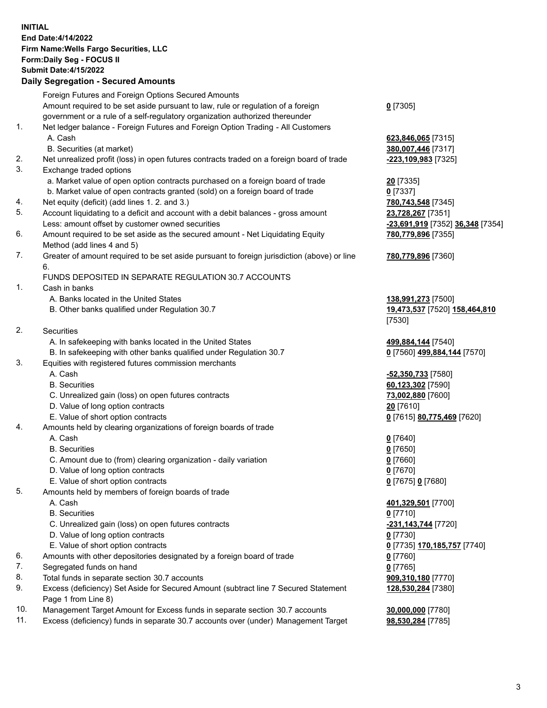**INITIAL End Date:4/14/2022 Firm Name:Wells Fargo Securities, LLC Form:Daily Seg - FOCUS II Submit Date:4/15/2022**

## **Daily Segregation - Secured Amounts**

|     | Foreign Futures and Foreign Options Secured Amounts                                                        |                                                   |
|-----|------------------------------------------------------------------------------------------------------------|---------------------------------------------------|
|     | Amount required to be set aside pursuant to law, rule or regulation of a foreign                           | $0$ [7305]                                        |
|     | government or a rule of a self-regulatory organization authorized thereunder                               |                                                   |
| 1.  | Net ledger balance - Foreign Futures and Foreign Option Trading - All Customers                            |                                                   |
|     | A. Cash                                                                                                    | 623,846,065 [7315]                                |
|     | B. Securities (at market)                                                                                  | 380,007,446 [7317]                                |
| 2.  | Net unrealized profit (loss) in open futures contracts traded on a foreign board of trade                  | -223,109,983 [7325]                               |
| 3.  | Exchange traded options                                                                                    |                                                   |
|     | a. Market value of open option contracts purchased on a foreign board of trade                             | 20 [7335]                                         |
|     | b. Market value of open contracts granted (sold) on a foreign board of trade                               | $0$ [7337]                                        |
| 4.  | Net equity (deficit) (add lines 1. 2. and 3.)                                                              | 780,743,548 [7345]                                |
| 5.  | Account liquidating to a deficit and account with a debit balances - gross amount                          | 23,728,267 [7351]                                 |
|     | Less: amount offset by customer owned securities                                                           | -23,691,919 [7352] 36,348 [7354]                  |
| 6.  | Amount required to be set aside as the secured amount - Net Liquidating Equity                             | 780,779,896 [7355]                                |
|     | Method (add lines 4 and 5)                                                                                 |                                                   |
| 7.  | Greater of amount required to be set aside pursuant to foreign jurisdiction (above) or line                | 780,779,896 [7360]                                |
|     | 6.                                                                                                         |                                                   |
|     | FUNDS DEPOSITED IN SEPARATE REGULATION 30.7 ACCOUNTS                                                       |                                                   |
| 1.  | Cash in banks                                                                                              |                                                   |
|     | A. Banks located in the United States                                                                      | 138,991,273 [7500]                                |
|     | B. Other banks qualified under Regulation 30.7                                                             | 19,473,537 [7520] 158,464,810                     |
|     |                                                                                                            | [7530]                                            |
| 2.  | Securities                                                                                                 |                                                   |
|     | A. In safekeeping with banks located in the United States                                                  | 499,884,144 [7540]                                |
|     | B. In safekeeping with other banks qualified under Regulation 30.7                                         | 0 [7560] 499,884,144 [7570]                       |
| 3.  | Equities with registered futures commission merchants                                                      |                                                   |
|     | A. Cash                                                                                                    | -52,350,733 [7580]                                |
|     | <b>B.</b> Securities                                                                                       | 60,123,302 [7590]                                 |
|     | C. Unrealized gain (loss) on open futures contracts                                                        | 73,002,880 [7600]                                 |
|     | D. Value of long option contracts                                                                          | 20 [7610]                                         |
|     | E. Value of short option contracts                                                                         | 0 [7615] 80,775,469 [7620]                        |
| 4.  | Amounts held by clearing organizations of foreign boards of trade                                          |                                                   |
|     | A. Cash                                                                                                    | $0$ [7640]                                        |
|     | <b>B.</b> Securities                                                                                       | $0$ [7650]                                        |
|     | C. Amount due to (from) clearing organization - daily variation                                            | $0$ [7660]                                        |
|     | D. Value of long option contracts                                                                          | $0$ [7670]                                        |
|     | E. Value of short option contracts                                                                         | 0 [7675] 0 [7680]                                 |
| 5.  | Amounts held by members of foreign boards of trade                                                         |                                                   |
|     | A. Cash                                                                                                    | 401,329,501 [7700]                                |
|     | <b>B.</b> Securities                                                                                       | 0 [7710]                                          |
|     | C. Unrealized gain (loss) on open futures contracts                                                        | -231, 143, 744 [7720]                             |
|     | D. Value of long option contracts                                                                          | $0$ [7730]                                        |
|     | E. Value of short option contracts                                                                         | 0 <sup>[7735]</sup> 170,185,757 <sup>[7740]</sup> |
| 6.  | Amounts with other depositories designated by a foreign board of trade                                     | 0 [7760]                                          |
| 7.  | Segregated funds on hand                                                                                   | $0$ [7765]                                        |
| 8.  | Total funds in separate section 30.7 accounts                                                              | 909,310,180 [7770]                                |
| 9.  | Excess (deficiency) Set Aside for Secured Amount (subtract line 7 Secured Statement<br>Page 1 from Line 8) | 128,530,284 [7380]                                |
| 10. | Management Target Amount for Excess funds in separate section 30.7 accounts                                | 30,000,000 [7780]                                 |
|     |                                                                                                            |                                                   |

11. Excess (deficiency) funds in separate 30.7 accounts over (under) Management Target **98,530,284** [7785]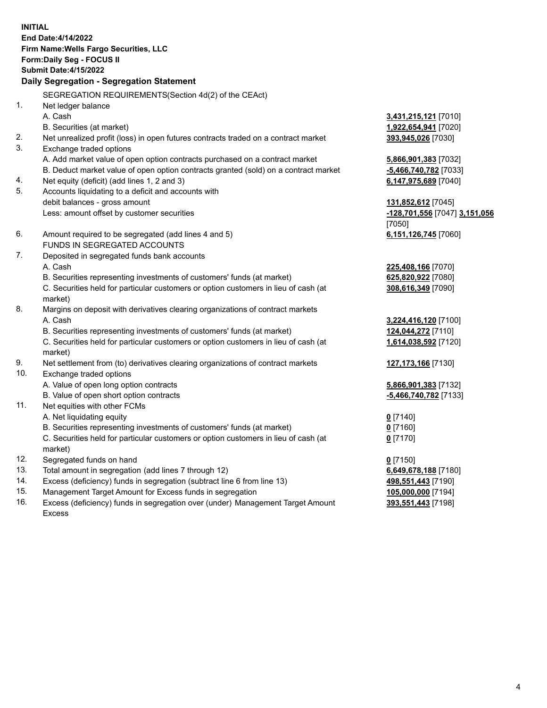**INITIAL End Date:4/14/2022 Firm Name:Wells Fargo Securities, LLC Form:Daily Seg - FOCUS II Submit Date:4/15/2022 Daily Segregation - Segregation Statement** SEGREGATION REQUIREMENTS(Section 4d(2) of the CEAct) 1. Net ledger balance A. Cash **3,431,215,121** [7010] B. Securities (at market) **1,922,654,941** [7020] 2. Net unrealized profit (loss) in open futures contracts traded on a contract market **393,945,026** [7030] 3. Exchange traded options A. Add market value of open option contracts purchased on a contract market **5,866,901,383** [7032] B. Deduct market value of open option contracts granted (sold) on a contract market **-5,466,740,782** [7033] 4. Net equity (deficit) (add lines 1, 2 and 3) **6,147,975,689** [7040] 5. Accounts liquidating to a deficit and accounts with debit balances - gross amount **131,852,612** [7045] Less: amount offset by customer securities **-128,701,556** [7047] **3,151,056** [7050] 6. Amount required to be segregated (add lines 4 and 5) **6,151,126,745** [7060] FUNDS IN SEGREGATED ACCOUNTS 7. Deposited in segregated funds bank accounts A. Cash **225,408,166** [7070] B. Securities representing investments of customers' funds (at market) **625,820,922** [7080] C. Securities held for particular customers or option customers in lieu of cash (at market) **308,616,349** [7090] 8. Margins on deposit with derivatives clearing organizations of contract markets A. Cash **3,224,416,120** [7100] B. Securities representing investments of customers' funds (at market) **124,044,272** [7110] C. Securities held for particular customers or option customers in lieu of cash (at market) **1,614,038,592** [7120] 9. Net settlement from (to) derivatives clearing organizations of contract markets **127,173,166** [7130] 10. Exchange traded options A. Value of open long option contracts **5,866,901,383** [7132] B. Value of open short option contracts **-5,466,740,782** [7133] 11. Net equities with other FCMs A. Net liquidating equity **0** [7140] B. Securities representing investments of customers' funds (at market) **0** [7160] C. Securities held for particular customers or option customers in lieu of cash (at market) **0** [7170] 12. Segregated funds on hand **0** [7150] 13. Total amount in segregation (add lines 7 through 12) **6,649,678,188** [7180] 14. Excess (deficiency) funds in segregation (subtract line 6 from line 13) **498,551,443** [7190]

- 15. Management Target Amount for Excess funds in segregation **105,000,000** [7194]
- 16. Excess (deficiency) funds in segregation over (under) Management Target Amount Excess

**393,551,443** [7198]